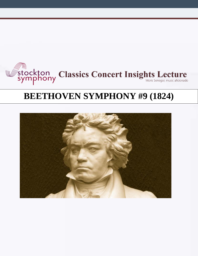

# **BEETHOVEN SYMPHONY #9 (1824)**

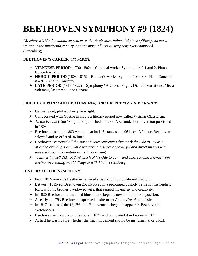# **BEETHOVEN SYMPHONY #9 (1824)**

"*Beethoven's Ninth, without argument, is the single most influential piece of European music written in the nineteenth century, and the most influential symphony ever composed.*" (Greenberg)

## **BEETHOVEN'S CAREER (1770-1827):**

- **VIENNESE PERIOD** (1790-1802) Classical works, Symphonies  $\#$  1 and 2, Piano Concerti # 1-3.
- **HEROIC PERIOD** (1803-1815) Romantic works, Symphonies # 3-8, Piano Concerti # 4 & 5, Violin Concerto.
- **LATE PERIOD** (1815-1827) Symphony #9, Grosse Fugue, Diabelli Variations, Missa Solemnis, last three Piano Sonatas.

# **FRIEDRICH VON SCHILLER (1759-1805) AND HIS POEM** *AN DIE FREUDE***:**

- $\triangleright$  German poet, philosopher, playwright.
- Collaborated with Goethe to create a literary period now called Weimar Classicism.
- *An die Freude* (*Ode to Joy*) first published in 1785. A second, shorter version published in 1803.
- $\triangleright$  Beethoven used the 1803 version that had 16 stanzas and 96 lines. Of those, Beethoven selected and re-ordered 36 lines.
- Beethoven "*removed all the most obvious references that mark the Ode to Joy as a glorified drinking song, while preserving a series of powerful and direct images with universal social connotations*." (Kindermann)
- "*Schiller himself did not think much of his Ode to Joy – and who, reading it away from Beethoven's setting would disagree with him?*" (Steinberg)

# **HISTORY OF THE SYMPHONY:**

- From 1815 onwards Beethoven entered a period of compositional draught.
- $\triangleright$  Between 1815-20, Beethoven got involved in a prolonged custody battle for his nephew Karl, with his brother's widowed wife, that sapped his energy and creativity.
- $\triangleright$  In 1820 Beethoven re-invented himself and began a new period of composition.
- As early as 1793 Beethoven expressed desire to set *An die Freude* to music.
- In 1817 themes of the 1<sup>st</sup>, 2<sup>nd</sup> and 4<sup>th</sup> movements began to appear in Beethoven's sketchbooks.
- $\triangleright$  Beethoven set to work on the score in1822 and completed it in February 1824.
- $\triangleright$  At first he wasn't sure whether the final movement should be instrumental or vocal.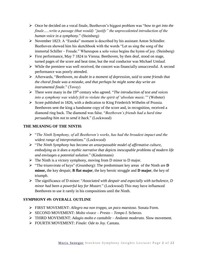- Once he decided on a vocal finale, Beethoven's biggest problem was "*how to get into the finale…..write a passage (that would) "justify" the unprecedented introduction of the human voice in a symphony.*" (Steinberg)
- November 1823: A "Eureka" moment is described by his assistant Anton Schindler. Beethoven showed him his sketchbook with the words "Let us sing the song of the immortal Schiller – Freude." Whereupon a solo voice begins the hymn of joy. (Steinberg)
- $\triangleright$  First performance, May 7 1824 in Vienna. Beethoven, by then deaf, stood on stage, turned pages of the score and beat time, but the real conductor was Michael Umlauf.
- $\triangleright$  While the premiere was well received, the concert was financially unsuccessful. A second performance was poorly attended.
- Afterwards, "*Beethoven, no doubt in a moment of depression, said to some friends that the choral finale was a mistake, and that perhaps he might some day write an instrumental finale.*" (Tovey)
- There were many in the 19th century who agreed. "*The introduction of text and voices into a symphony was widely felt to violate the spirit of 'absolute music.*'" (Webster)
- $\triangleright$  Score published in 1826, with a dedication to King Friederich Wilhelm of Prussia. Beethoven sent the king a handsome copy of the score and, in recognition, received a diamond ring back. The diamond was false. "*Beethoven's friends had a hard time persuading him not to send it back.*" (Lockwood)

# **THE MEANING OF THE NINTH:**

- "*The Ninth Symphony, of all Beethoven's works, has had the broadest impact and the widest range of interpretations.*" (Lockwood)
- "*The Ninth Symphony has become an unsurpassable model of affirmative culture, embodying as it does a mythic narrative that depicts inescapable problems of modern life and envisages a potential solution*." (Kindermann)
- $\triangleright$  The Ninth is a victory symphony, moving from D minor to D major.
- "The triumvirate of keys" (Greenberg): The predominant key areas of the Ninth are **D minor,** the key despair, **B flat major**, the key heroic struggle and **D major**, the key of triumph.
- The significance of D minor: "*Associated with despair and especially with turbulence, D minor had been a powerful key for Mozart.*" (Lockwood) This may have influenced Beethoven to use it rarely in his compositions until the Ninth.

#### **SYMPHONY #9: OVERALL OUTLINE**

- FIRST MOVEMENT: *Allegro ma non troppo, un poco maestoso*. Sonata Form.
- SECOND MOVEMENT: *Molto vivace – Presto – Tempo I*. Scherzo.
- THIRD MOVEMENT: *Adagio molto e cantabile – Andante moderato*. Slow movement.
- FOURTH MOVEMENT: *Finale: Ode to Joy*. Cantata.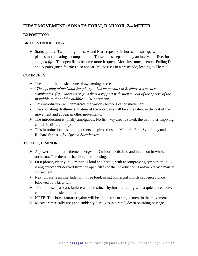# **FIRST MOVEMENT: SONATA FORM, D MINOR, 2/4 METER**

#### **EXPOSITION:**

#### BRIEF INTRODUCTION:

 $\triangleright$  Starts quietly. Two falling notes, A and E are repeated in horns and strings, with a pianissimo pulsating accompaniment. These notes, separated by an interval of five, form an *open fifth*. The open fifths become more frequent. More instruments enter. Falling D and A pairs (*open fourths*) also appear. Music rises in a crescendo, leading to Theme I.

#### COMMENTS:

- $\triangleright$  The aura of the music is one of awakening or creation.
- "*The opening of the Ninth Symphony …has no parallel in Beethoven's earlier symphonies. (It)… takes its origins from a rapport with silence...out of the sphere of the inaudible to that of the audible..*." (Kindermann)
- $\triangleright$  This introduction will demarcate the various sections of the movement.
- $\triangleright$  The short-long rhythmic signature of the note pairs will be a prevalent in the rest of the movement and appear in other movements.
- $\triangleright$  The introduction is tonally ambiguous. No firm key area is stated, the two notes implying chords in different keys.
- $\triangleright$  This introduction has, among others, inspired those in Mahler's First Symphony and Richard Strauss *Also Sprach Zarathustra*.

#### THEME I, D MINOR:

- $\triangleright$  A powerful, dramatic theme emerges in D minor, fortissimo and in unison in whole orchestra. The theme is has irregular phrasing.
- $\triangleright$  First phrase, clearly in D minor, is loud and heroic, with accompanying tympani rolls. A rising antecedent derived from the open fifths of the introduction is answered by a martial consequent.
- $\triangleright$  Next phrase is an interlude with three loud, rising orchestral chords sequenced once, followed by a brief fall.
- $\triangleright$  Third phrase is a brass fanfare with a distinct rhythm alternating with a quiet, three note, chorale-like music in horns.
- $\triangleright$  NOTE: This brass fanfare rhythm will be another recurring element in the movement.
- $\triangleright$  Music dramatically rises and suddenly dissolves in a rapid, down-spiraling passage.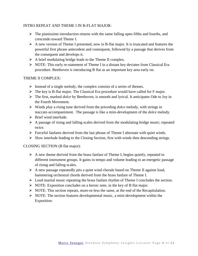#### INTRO REPEAT AND THEME I IN B-FLAT MAJOR:

- $\triangleright$  The pianissimo introduction returns with the same falling open fifths and fourths, and crescendo toward Theme I.
- $\triangleright$  A new version of Theme I presented, now in B-flat major. It is truncated and features the powerful first phrase antecedent and consequent, followed by a passage that derives from the consequent and develops it.
- $\triangleright$  A brief modulating bridge leads to the Theme II complex.
- $\triangleright$  NOTE: This early re-statement of Theme I in a distant key deviates from Classical Era procedure. Beethoven is introducing B flat as an important key area early on.

#### THEME II COMPLEX:

- $\triangleright$  Instead of a single melody, the complex consists of a series of themes.
- $\triangleright$  The key is B-flat major. The Classical Era procedure would have called for F major.
- The first, marked *dolce* by Beethoven, is smooth and lyrical. It anticipates Ode to Joy in the Fourth Movement.
- Winds play a rising tune derived from the preceding *dolce* melody, with strings in staccato accompaniment. The passage is like a mini-development of the *dolce* melody.
- $\triangleright$  Brief wind interlude.
- $\triangleright$  A passage of rising and falling scales derived from the modulating bridge music; repeated twice.
- $\triangleright$  Forceful fanfares derived from the last phrase of Theme I alternate with quiet winds.
- $\triangleright$  Slow interlude leading to the Closing Section, first with winds then descending strings.

#### CLOSING SECTION (B flat major):

- $\triangleright$  A new theme derived from the brass fanfare of Theme I, begins quietly, repeated in different instrument groups. It gains in tempo and volume leading to an energetic passage of rising and falling scales.
- $\triangleright$  A new passage repeatedly pits a quiet wind chorale based on Theme II against loud, hammering orchestral chords derived from the brass fanfare of Theme I.
- $\triangleright$  Loud martial music repeating the brass fanfare rhythm of Theme I concludes the section.
- $\triangleright$  NOTE: Exposition concludes on a heroic note, in the key of B flat major.
- $\triangleright$  NOTE: This section repeats, more-or-less the same, at the end of the Recapitulation.
- $\triangleright$  NOTE: The section features developmental music, a mini-development within the Exposition.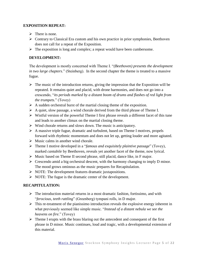# **EXPOSITION REPEAT:**

- $\triangleright$  There is none.
- $\triangleright$  Contrary to Classical Era custom and his own practice in prior symphonies, Beethoven does not call for a repeat of the Exposition.
- $\triangleright$  The exposition is long and complex; a repeat would have been cumbersome.

# **DEVELOPMENT:**

The development is mostly concerned with Theme I. "*(Beethoven) presents the development in two large chapters*." (Steinberg). In the second chapter the theme is treated to a massive fugue.

- $\triangleright$  The music of the introduction returns, giving the impression that the Exposition will be repeated. It remains quiet and placid, with drone harmonies, and does not go into a crescendo, "*its periods marked by a distant boom of drums and flashes of red light from the trumpets.*" (Tovey)
- $\triangleright$  A sudden orchestral burst of the martial closing theme of the exposition.
- $\triangleright$  A quiet, slow passage, a wind chorale derived from the third phrase of Theme I.
- $\triangleright$  Wistful version of the powerful Theme I first phrase reveals a different facet of this tune and leads to another climax on the martial closing theme.
- $\triangleright$  Wind chorale returns and slows down. The music is anticipatory.
- $\triangleright$  A massive triple fugue, dramatic and turbulent, based on Theme I motives, propels forward with rhythmic momentum and does not let up, getting louder and more agitated.
- $\triangleright$  Music calms in another wind chorale.
- Theme I motive developed in a "*famous and exquisitely plaintive passage*" (Tovey), marked *cantabile* by Beethoven, reveals yet another facet of the theme, now lyrical.
- $\triangleright$  Music based on Theme II second phrase, still placid, dance like, in F major.
- $\triangleright$  Crescendo amid a big orchestral descent, with the harmony changing to imply D minor. The mood grows ominous as the music prepares for Recapitulation.
- $\triangleright$  NOTE: The development features dramatic juxtapositions.
- $\triangleright$  NOTE: The fugue is the dramatic center of the development.

# **RECAPITULATION:**

- $\triangleright$  The introduction material returns in a most dramatic fashion, fortissimo, and with "*ferocious, teeth rattling*" (Greenberg) tympani rolls, in D major.
- $\triangleright$  This re-treatment of the pianissimo introduction reveals the explosive energy inherent in what previously seemed like simple music. "*Instead of a distant nebula we see the heavens on fire.*" (Tovey)
- $\triangleright$  Theme I erupts with the brass blaring out the antecedent and consequent of the first phrase in D minor. Music continues, loud and tragic, with a developmental extension of this material.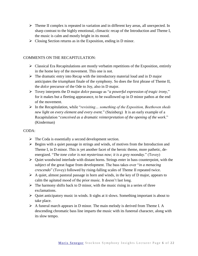- $\triangleright$  Theme II complex is repeated in variation and in different key areas, all unexpected. In sharp contrast to the highly emotional, climactic recap of the Introduction and Theme I, the music is calm and mostly bright in its mood.
- $\triangleright$  Closing Section returns as in the Exposition, ending in D minor.

#### COMMENTS ON THE RECAPITULATION:

- $\triangleright$  Classical Era Recapitulations are mostly verbatim repetitions of the Exposition, entirely in the home key of the movement. This one is not.
- $\triangleright$  The dramatic entry into Recap with the introductory material loud and in D major anticipates the triumphant finale of the symphony. So does the first phrase of Theme II, the *dolce* precursor of the Ode to Joy, also in D major.
- Tovey interprets the D major *dolce* passage as "*a powerful expression of tragic irony,*" for it makes but a fleeting appearance, to be swallowed up in D minor pathos at the end of the movement.
- In the Recapitulation, while "*revisiting… something of the Exposition, Beethoven sheds new light on every element and every event.*" (Steinberg) It is an early example of a Recapitulation "*conceived as a dramatic reinterpretation of the opening of the work*." (Kinderman)

#### CODA:

- $\triangleright$  The Coda is essentially a second development section.
- $\triangleright$  Begins with a quiet passage in strings and winds, of motives from the Introduction and Theme I, in D minor. This is yet another facet of the heroic theme, more pathetic, deenergized. "*The tone color is not mysterious now; it is a grey noonday.*" (Tovey)
- $\triangleright$  Quiet woodwind interlude with distant horns. Strings enter in bass counterpoint, with the subject of the great fugue from development. The bass takes over "*in a menacing crescendo*" (Tovey) followed by rising-falling scales of Theme II repeated twice.
- $\triangleright$  A quiet, almost pastoral passage in horn and winds, in the key of D major, appears to calm the agitated mood of the prior music. It doesn't last long.
- $\triangleright$  The harmony shifts back to D minor, with the music rising in a series of three exclamations.
- $\triangleright$  Quiet anticipatory music in winds. It sighs at it slows. Something important is about to take place.
- $\triangleright$  A funeral march appears in D minor. The main melody is derived from Theme I. A descending chromatic bass line imparts the music with its funereal character, along with its slow tempo.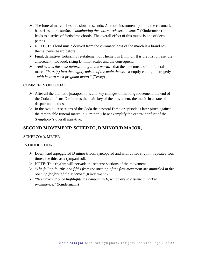- $\triangleright$  The funeral march rises in a slow crescendo. As more instruments join in, the chromatic bass rises to the surface, "*dominating the entire orchestral texture*" (Kindermann) and leads to a series of fortissimo chords. The overall effect of this music is one of deep pathos.
- $\triangleright$  NOTE: This loud music derived from the chromatic bass of the march is a brand new theme, never heard before.
- $\triangleright$  Final, definitive, fortissimo re-statement of Theme I in D minor. It is the first phrase, the antecedent, two loud, rising D minor scales and the consequent.
- "*And so it is the most natural thing in the world,"* that the new music of the funeral march *"burst(s) into the mighty unison of the main theme,"* abruptly ending the tragedy *"with its own most pregnant motto.*" (Tovey)

#### COMMENTS ON CODA:

- $\triangleright$  After all the dramatic juxtapositions and key changes of the long movement, the end of the Coda confirms D minor as the main key of the movement, the music in a state of despair and pathos.
- $\triangleright$  In the two quiet sections of the Coda the pastoral D major episode is later pitted against the remarkable funeral march in D minor. These exemplify the central conflict of the Symphony's overall narrative.

# **SECOND MOVEMENT: SCHERZO, D MINOR/D MAJOR,**

#### SCHERZO: ¾ METER

#### INTRODUCTION:

- Downward arpeggiated D minor triads, syncopated and with dotted rhythm, repeated four times, the third as a tympani roll.
- $\triangleright$  NOTE: This rhythm will pervade the scherzo sections of the movement.
- "*The falling fourths and fifths from the opening of the first movement are mimicked in the opening fanfare of the scherzo.*" (Kindermann)
- "*Beethoven at once highlights the tympani in F, which are to assume a marked prominence.*" (Kindermann)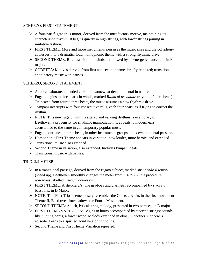#### SCHERZO, FIRST STATEMENT:

- $\triangleright$  A four-part fugato in D minor, derived from the introductory motive, maintaining its characteristic rhythm. It begins quietly in high strings, with lower strings joining in imitative fashion.
- FIRST THEME: More and more instruments join in as the music rises and the polyphony coalesces into a dramatic, loud, homophonic theme with a strong rhythmic drive.
- $\triangleright$  SECOND THEME: Brief transition in winds is followed by an energetic dance tune in F major.
- CODETTA: Motives derived from first and second themes briefly re-stated; transitional anticipatory music with pauses.

#### SCHERZO, SECOND STATEMENT:

- $\triangleright$  A more elaborate, extended variation, somewhat developmental in nature.
- Fugato begins in three parts in winds, marked *Ritmo di tre batute* (rhythm of three beats). Truncated from four to three beats, the music assumes a new rhythmic drive.
- $\triangleright$  Tympani interrupts with four consecutive rolls, each four beats, as if trying to correct the rhythm.
- $\triangleright$  NOTE: This new fugato, with its altered and varying rhythms is exemplary of Beethoven's propensity for rhythmic manipulation. It appeals to modern ears, accustomed to the same in contemporary popular music.
- $\triangleright$  Fugato continues in three beats, in other instruments groups, in a developmental passage.
- Homophonic First Theme appears in variation, now louder, more heroic, and extended.
- $\triangleright$  Transitional music also extended.
- $\triangleright$  Second Theme in variation, also extended. Includes tympani beats.
- $\triangleright$  Transitional music with pauses.

#### TRIO: 2/2 METER

- In a transitional passage, derived from the fugato subject, marked *stringendo il tempo* (speed up), Beethoven smoothly changes the meter from 3/4 to 2/2 in a procedure nowadays labelled *metric modulation*.
- $\triangleright$  FIRST THEME: A shepherd's tune in oboes and clarinets, accompanied by staccato bassoons, in D Major.
- $\triangleright$  NOTE: This First Trio Theme closely resembles the Ode to Joy. As in the first movement Theme II, Beethoven foreshadows the Fourth Movement.
- SECOND THEME: A lush, lyrical string melody, presented in two phrases, in D major.
- FIRST THEME VARIATION: Begins in horns accompanied by staccato strings; sounds like hunting horns, a forest scene. Melody extended in oboe, in another shepherd's episode. Leads to a spirited, loud version in violins.
- $\triangleright$  Second Theme and First Theme Variation repeated.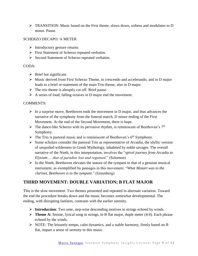$\triangleright$  TRANSITION: Music based on the First theme, slows down, softens and modulates to D minor. Pause.

#### SCHERZO DECAPO: ¾ METER

- $\triangleright$  Introductory gesture returns.
- First Statement of Scherzo repeated verbatim.
- Second Statement of Scherzo repeated verbatim.

## CODA:

- $\triangleright$  Brief but significant.
- Music derived from First Scherzo Theme, in crescendo and accelerando, and in D major leads to a brief re-statement of the main Trio theme, also in D major.
- $\triangleright$  The trio theme is abruptly cut off. Brief pause.
- $\triangleright$  A series of loud, falling octaves in D major end the movement.

## COMMENTS:

- $\triangleright$  In a surprise move, Beethoven ends the movement in D major, and thus advances the narrative of the symphony from the funeral march, D minor ending of the First Movement. At the end of the Second Movement, there is hope.
- $\triangleright$  The dance-like Scherzo with its pervasive rhythm, is reminiscent of Beethoven's 7<sup>th</sup> Symphony.
- $\triangleright$  The Trio is pastoral music and is reminiscent of Beethoven's 6<sup>th</sup> Symphony.
- Some scholars consider the pastoral Trio as representative of *Arcadia*, the idyllic version of unspoiled wilderness in Greek Mythology, inhabited by noble savages. The overall narrative of the Ninth, in this interpretation, involves the "*spiral journey from Arcadia to Elysium…..that of paradise lost and regained.*" (Solomon)
- $\triangleright$  In the Ninth, Beethoven elevates the stature of the tympani to that of a genuine musical instrument, as exemplified by passages in this movement. "*What Mozart was to the clarinet, Beethoven is to the tympani.*" (Greenberg)

# **THIRD MOVEMENT: DOUBLE VARIATION; B FLAT MAJOR**

This is the slow movement. Two themes presented and repeated in alternate variation. Toward the end the procedure breaks down and the music becomes somewhat developmental. The ending, with disrupting fanfares, contrasts with the earlier serenity.

- **Introduction**: Two note, step-wise descending motives in strings echoed by winds.
- **Theme A:** Serene, lyrical song in strings, in B flat major, duple meter (4/4). Each phrase echoed by the winds.
- NOTE: The leisurely tempo, calm dynamics, and a stable harmony, firmly based on B flat, impart a sense of serenity to this music.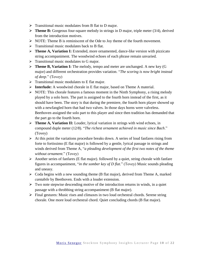- $\triangleright$  Transitional music modulates from B flat to D major.
- **Theme B:** Gorgeous four-square melody in strings in D major, triple meter (3/4), derived from the introduction motives.
- $\triangleright$  NOTE: Theme B is reminiscent of the Ode to Joy theme of the fourth movement.
- $\triangleright$  Transitional music modulates back to B flat.
- **Theme A, Variation I:** Extended, more ornamented, dance-like version with pizzicato string accompaniment. The woodwind echoes of each phrase remain unvaried.
- $\triangleright$  Transitional music modulates to G major.
- **Theme B, Variation I:** The melody, tempo and meter are unchanged. A new key (G major) and different orchestration provides variation. "*The scoring is now bright instead of deep*." (Tovey)
- $\triangleright$  Transitional music modulates to E flat major.
- **Interlude:** A woodwind chorale in E flat major, based on Theme A material.
- $\triangleright$  NOTE: This chorale features a famous moment in the Ninth Symphony, a rising melody played by a solo horn. The part is assigned to the fourth horn instead of the first, as it should have been. The story is that during the premiere, the fourth horn player showed up with a newfangled horn that had two valves. In those days horns were valveless. Beethoven assigned the solo part to this player and since then tradition has demanded that the part go to the fourth horn.
- **Theme A, Variation II:** Louder, lyrical variation in strings with wind echoes, in compound duple meter (12/8). "*The richest ornament achieved in music since Bach*." (Tovey)
- $\triangleright$  At this point the variations procedure breaks down. A series of loud fanfares rising from forte to fortissimo (E flat major) is followed by a gentle, lyrical passage in strings and winds derived from Theme A, "*a pleading development of the first two notes of the theme without ornament.*" (Tovey)
- $\triangleright$  Another series of fanfares (E flat major). followed by a quiet, string chorale with fanfare figures in accompaniment, "*in the somber key of D flat.*" (Tovey) Music sounds pleading and uneasy.
- $\triangleright$  Coda begins with a new sounding theme (B flat major), derived from Theme A, marked *cantabile* by Beethoven. Ends with a louder extension.
- $\triangleright$  Two note stepwise descending motive of the introduction returns in winds, in a quiet passage with a throbbing string accompaniment (B flat major).
- $\triangleright$  Final gestures: Music rises and climaxes in two loud orchestral chords. Serene string chorale. One more loud orchestral chord. Quiet concluding chords (B flat major).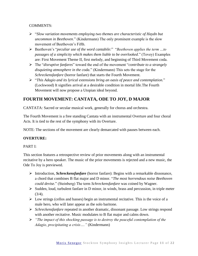#### COMMENTS:

- "*Slow variation movements employing two themes are characteristic of Haydn but uncommon in Beethoven*." (Kindermann) The only prominent example is the slow movement of Beethoven's Fifth.
- Beethoven's "*peculiar use of the word cantabile:*" "*Beethoven applies the term …to passages of a simplicity which makes them liable to be overlooked*." (Tovey) Examples are: First Movement Theme II, first melody, and beginning of Third Movement coda.
- The "*disruptive fanfares*" toward the end of the movement "*contribute to a strangely disquieting atmosphere in the coda.*" (Kindermann) This sets the stage for the *Schreckensfanfare* (horror fanfare) that starts the Fourth Movement.
- "*This Adagio and its lyrical extensions bring an oasis of peace and contemplation.*" (Lockwood) It signifies arrival at a desirable condition in mortal life.The Fourth Movement will now propose a Utopian ideal beyond.

# **FOURTH MOVEMENT: CANTATA, ODE TO JOY, D MAJOR**

CANTATA: Sacred or secular musical work, generally for chorus and orchestra.

The Fourth Movement is a free standing Cantata with an instrumental Overture and four choral Acts. It is tied to the rest of the symphony with its Overture.

NOTE: The sections of the movement are clearly demarcated with pauses between each.

# **OVERTURE:**

#### PART I:

This section features a retrospective review of prior movements along with an instrumental recitative by a hero speaker. The music of the prior movements is rejected and a new music, the Ode To Joy is previewed.

- Introduction, *Schreckensfanfare* (horror fanfare): Begins with a remarkable dissonance, a chord that combines B flat major and D minor. "*The most horrendous noise Beethoven could devise.*" (Steinberg) The term *Schreckensfanfare* was coined by Wagner.
- $\triangleright$  Sudden, loud, turbulent fanfare in D minor, in winds, brass and percussion, in triple meter  $(3/4).$
- $\triangleright$  Low strings (cellos and basses) begin an instrumental recitative. This is the voice of a male hero, who will later appear as the solo baritone.
- *Schreckensfanfare* repeated in another dramatic, dissonant passage. Low strings respond with another recitative. Music modulates to B flat major and calms down.
- *"The impact of this shocking passage is to destroy the peaceful contemplation of the Adagio, precipitating a crisis…."* (Kindermann)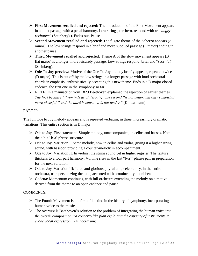- **First Movement recalled and rejected:** The introduction of the First Movement appears in a quiet passage with a pedal harmony. Low strings, the hero, respond with an "*angry recitative*" (Steinberg) ). Fades out. Pause
- **Second Movement recalled and rejected:** The fugato theme of the Scherzo appears (A minor). The low strings respond in a brief and more subdued passage (F major) ending in another pause.
- **Third Movement recalled and rejected:** Theme A of the slow movement appears (B flat major) is a longer, more leisurely passage. Low strings respond, brief and "*scornful*" (Steinberg).
- **Ode To Joy preview:** Motive of the Ode To Joy melody briefly appears, repeated twice (D major). This is cut off by the low strings in a longer passage with loud orchestral chords in emphasis, enthusiastically accepting this new theme. Ends in a D major closed cadence, the first one in the symphony so far.
- NOTE**:** In a manuscript from 1823 Beethoven explained the rejection of earlier themes. *The first because "it reminds us of despair," the second "is not better, but only somewhat more cheerful," and the third because "it is too tender.*" (Kindermann)

## PART II:

The full Ode to Joy melody appears and is repeated verbatim, in three, increasingly dramatic variations. This entire section is in D major.

- $\triangleright$  Ode to Joy, First statement: Simple melody, unaccompanied, in cellos and basses. Note the a-b-a'-b-a' phrase structure.
- $\triangleright$  Ode to Joy, Variation I: Same melody, now in cellos and violas, giving it a higher string sound, with bassoon providing a counter-melody in accompaniment.
- $\triangleright$  Ode to Joy, Variation II: In violins, the string sound yet in higher register. The texture thickens to a four part harmony. Volume rises in the last "b-a'" phrase pair in preparation for the next variation.
- $\triangleright$  Ode to Joy, Variation III: Loud and glorious, joyful and, celebratory, in the entire orchestra, trumpets blazing the tune, accented with prominent tympani beats.
- $\triangleright$  Codetta: Momentum continues, with full orchestra extending the melody on a motive derived from the theme to an open cadence and pause.

# COMMENTS:

- $\triangleright$  The Fourth Movement is the first of its kind in the history of symphony, incorporating human voice to the music.
- $\triangleright$  The overture is Beethoven's solution to the problem of integrating the human voice into the overall composition, "*a concerto like plan exploiting the capacity of instruments to evoke vocal expression.*" (Kindermann)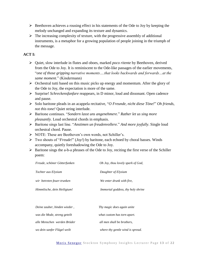- $\triangleright$  Beethoven achieves a rousing effect in his statements of the Ode to Joy by keeping the melody unchanged and expanding its texture and dynamics.
- $\triangleright$  The increasing complexity of texture, with the progressive assembly of additional instruments, is a metaphor for a growing population of people joining in the triumph of the message.

# **ACT I:**

- Quiet, slow interlude in flutes and oboes, marked *poco ritente* by Beethoven, derived from the Ode to Joy. It is reminiscent to the Ode-like passages of the earlier movements, "*one of those gripping narrative moments….that looks backwards and forwards…at the same moment*." (Kindermann)
- $\triangleright$  Orchestral tutti based on this music picks up energy and momentum. After the glory of the Ode to Joy, the expectation is more of the same.
- Surprise! *Schreckensfanfare* reappears, in D minor, loud and dissonant. Open cadence and pause.
- Solo baritone pleads in an acappela recitative, "*O Freunde, nicht diese Töne!*" *Oh friends, not this tone!* Quiet string interlude.
- Baritone continues. "*Sondern lasst uns angenehmere.*" *Rather let us sing more pleasantly.* Loud orchestral chords in emphasis.
- Baritone sings last line. "*Anstimen un freudenvollere.*" *And more joyfully*. Single loud orchestral chord. Pause.
- NOTE: These are Beethoven's own words, not Schiller's.
- Two shouts of "*Freude!*" (*Joy!*) by baritone, each echoed by choral basses. Winds accompany, quietly foreshadowing the Ode to Joy.
- $\triangleright$  Baritone sings the a-b-a phrases of the Ode to Joy, reciting the first verse of the Schiller poem:

| Freude, schöner Götterfunken | Oh Joy, thou lovely spark of God,        |
|------------------------------|------------------------------------------|
| Tochter aus Elysium          | Daughter of Elysium                      |
| wir betreten feuer-trunken   | We enter drunk with fire,                |
| Himmlische, dein Heiligtum!  | <i>Immortal goddess, thy holy shrine</i> |
|                              |                                          |
| Deine zauber, binden wieder, | Thy magic does again unite               |
| was die Mode, streng geteilt | what custom has torn apart.              |
| alle Menschen werden Brüder  | all men shall be brothers,               |
| wo dein sanfer Flügel weilt  | where thy gentle wind is spread.         |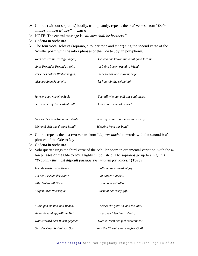- Chorus (without sopranos) loudly, triumphantly, repeats the b-a' verses, from "*Daine zauber, binden wieder"* onwards.
- NOTE: The central message is "*all men shall be brothers.*"
- $\triangleright$  Codetta in orchestra.
- $\triangleright$  The four vocal soloists (soprano, alto, baritone and tenor) sing the second verse of the Schiller poem with the a-b-a phrases of the Ode to Joy, in polyphony.

| Wem der grosse Wurf gelungen,     | He who has known the great good fortune |
|-----------------------------------|-----------------------------------------|
| eines Freundes Freund zu sein.    | of being bosom friend to friend,        |
| wer eines holdes Weib erungen,    | he who has won a loving wife,           |
| mische seinen Jubel ein!          | let him join the rejoicing!             |
|                                   |                                         |
| Ja, wer auch nur eine Seele       | Yea, all who can call one soul theirs,  |
| Sein nennt auf dem Erdentund!     | Join in our song of praise!             |
| Und wer's nie gekonnt, der steble | And any who cannot must steal away      |
| Weinend sich aus diesem Band!     | Weeping from our band!                  |

- Chorus repeats the last two verses from "*Ja, wer auch,*" onwards with the second b-a' phrases of the Ode to Joy.
- $\triangleright$  Codetta in orchestra.
- $\triangleright$  Solo quartet sings the third verse of the Schiller poem in ornamental variation, with the ab-a phrases of the Ode to Joy. Highly embellished. The sopranos go up to a high "B". "*Probably the most difficult passage ever written for voices.*" (Tovey)

| Freude trinken alle Wesen      | All creatures drink of joy        |
|--------------------------------|-----------------------------------|
| An den Brüsten der Natur.      | at nature's breast.               |
| alle Guten, all Bösen          | good and evil alike               |
| Folgen ihrer Rosenspur         | taste of her rosey gift.          |
|                                |                                   |
| Küsse gab sie uns, und Reben,  | Kisses she gave us, and the vine, |
| einen Freund, geprüft im Tod;  | a proven friend until death;      |
| Wollust ward dem Wurm gegeben, | Even a worm can feel contentment  |
| Und der Cherub steht vor Gott! | and the Cherub stands before God! |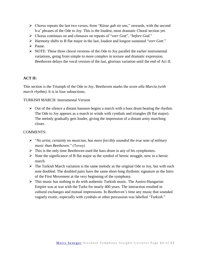- Chorus repeats the last two verses, from "*Küsse gab sie uns*," onwards, with the second b-a' phrases of the Ode to Joy. This is the loudest, most dramatic Choral section yet.
- Chorus continues on and climaxes on repeats of "*vorr Gott*", "*before God.*"
- Harmony shifts to B flat major in the last, loudest and longest sustained "*vorr Gott*."
- > Pause.
- $\triangleright$  NOTE: These three choral versions of the Ode to Joy parallel the earlier instrumental variations, going from simple to more complex in texture and dramatic expression. Beethoven delays the vocal version of the last, glorious variation until the end of Act II.

# **ACT II:**

This section is the Triumph of the Ode to Joy. Beethoven marks the score *alla Marcia (with march rhythm)*. It is in four subsections.

#### TURKISH MARCH: Instrumental Version

 $\triangleright$  Out of the silence a distant bassoon begins a march with a bass drum beating the rhythm. The Ode to Joy appears as a march in winds with cymbals and triangles (B flat major). The melody gradually gets louder, giving the impression of a distant army marching closer.

#### COMMENTS:

- "*No artist, certainly no musician, has more forcibly sounded the true note of military music than Beethoven.*" (Tovey)
- $\triangleright$  This is the only time Beethoven used the bass drum in any of his symphonies.
- $\triangleright$  Note the significance of B flat major as the symbol of heroic struggle, now in a heroic march.
- $\triangleright$  The Turkish March variation is the same melody as the original Ode to Joy, but with each note doubled. The doubled pairs have the same short-long rhythmic signature as the Intro of the First Movement at the very beginning of the symphony.
- $\triangleright$  This music has nothing to do with authentic Turkish music. The Austro-Hungarian Empire was at war with the Turks for nearly 400 years. The interaction resulted in cultural exchanges and mutual impressions. In Beethoven's time any music that sounded vaguely exotic, especially with cymbals or other percussion was labelled "Turkish."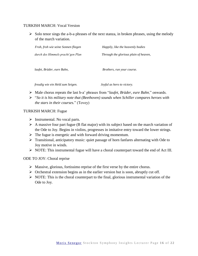#### TURKISH MARCH: Vocal Version

 $\triangleright$  Solo tenor sings the a-b-a phrases of the next stanza, in broken phrases, using the melody of the march variation.

| Froh, froh wie seine Sonnen fliegen | Happily, like the heavenly bodies     |
|-------------------------------------|---------------------------------------|
| durch des Himmels pracht'gen Plan   | Through the glorious plain of heaven, |
| laufet, Brüder, eure Bahn,          | Brothers, run your course.            |

 *freudig wie ein Held zum Seigen. Joyful as hero to victory.*

- Male chorus repeats the last b-a' phrases from "*laufet, Brüder, eure Bahn,*" onwards.
- "*So it is his military note that (Beethoven) sounds when Schiller compares heroes with the stars in their courses.*" (Tovey)

#### TURKISH MARCH: Fugue

- $\triangleright$  Instrumental. No vocal parts.
- $\triangleright$  A massive four part fugue (B flat major) with its subject based on the march variation of the Ode to Joy. Begins in violins, progresses in imitative entry toward the lower strings.
- $\triangleright$  The fugue is energetic and with forward driving momentum.
- Transitional, anticipatory music: quiet passage of horn fanfares alternating with Ode to Joy motive in winds.
- $\triangleright$  NOTE: This instrumental fugue will have a choral counterpart toward the end of Act III.

ODE TO JOY: Choral reprise

- $\triangleright$  Massive, glorious, fortissimo reprise of the first verse by the entire chorus.
- $\triangleright$  Orchestral extension begins as in the earlier version but is soon, abruptly cut off.
- $\triangleright$  NOTE: This is the choral counterpart to the final, glorious instrumental variation of the Ode to Joy.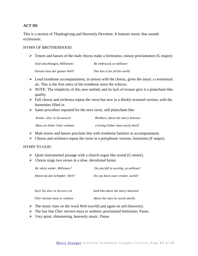#### **ACT III:**

This is a section of Thanksgiving and Heavenly Devotion. It features music that sounds ecclesiastic.

#### HYMN OF BROTHERHOOD:

 $\triangleright$  Tenors and basses of the male chorus make a fortissimo, unison proclamation (G major):

| Seid umschlungen, Millionen!  | Be embraced, ye millions!       |
|-------------------------------|---------------------------------|
| Diessen kuss der ganzen Welt! | This kiss is for all the world. |

- $\triangleright$  Loud trombone accompaniment, in unison with the chorus, gives the music a ceremonial air. This is the first entry of the trombone since the scherzo.
- $\triangleright$  NOTE: The simplicity of this new melody and its lack of texture give it a plainchant-like quality.
- $\triangleright$  Full chorus and orchestra repeat the verse but now in a thickly textured version, with the harmonies filled in.
- $\triangleright$  Same procedure repeated for the next verse, still plainchant-like.

| Brüder, über'm Sternenzelt   | Brothers, above the starry heavens |
|------------------------------|------------------------------------|
| Muss ein lieber Vater wohnen | a loving Father must surely dwell  |

- $\triangleright$  Male tenors and basses proclaim this with trombone fanfares in accompaniment.
- $\triangleright$  Chorus and orchestra repeat the verse in a polyphonic version, fortissimo (F major).

#### HYMN TO GOD:

- $\triangleright$  Quiet instrumental passage with a church-organ like sound (G minor).
- $\triangleright$  Chorus sings two verses in a slow, devotional hymn.

| <i>Ihr stürtz nieder, Millionen?</i> | Do you fall in worship, ye millions? |
|--------------------------------------|--------------------------------------|
| Ahnest du den Schöpher, Welt?        | Do you know your creator, world?     |
| Such'ihn über'm Sternen zelt         | Seek him above the starry heavens!   |
| Uber sternen muss er wohnen          | Above the stars he surely dwells.    |

- The music rises on the word *Welt* (*world*) and again on *zelt* (*heavens*).
- The last line *Über sternen muss er wohnen,* proclaimed fortissimo. Pause.
- $\triangleright$  Very quiet, shimmering, heavenly music. Pause.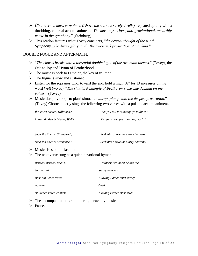- *Über sternen muss er wohnen (Above the stars he surely dwells)*, repeated quietly with a throbbing, ethereal accompaniment. "*The most mysterious, anti-gravitational, unearthly music in the symphony.*" (Steinberg)
- This section features what Tovey considers, "*the central thought of the Ninth Symphony…the divine glory..and…the awestruck prostration of mankind.*"

#### DOUBLE FUGUE AND AFTERMATH:

- "*The chorus breaks into a torrential double fugue of the two main themes,*" (Tovey), the Ode to Joy and Hymn of Brotherhood.
- $\triangleright$  The music is back to D major, the key of triumph.
- $\triangleright$  The fugue is slow and sustained.
- $\triangleright$  Listen for the sopranos who, toward the end, hold a high "A" for 13 measures on the word *Welt* (*world*). "*The standard example of Beethoven's extreme demand on the voices.*" (Tovey)
- Music abruptly drops to pianissimo, "*an abrupt plunge into the deepest prostration*." (Tovey) Chorus quietly sings the following two verses with a pulsing accompaniment.

| <i>Ihr stürtz nieder, Millionen?</i> | Do you fall in worship, ye millions? |
|--------------------------------------|--------------------------------------|
| Ahnest du den Schöpfer, Welt?        | Do you know your creator, world?     |

| Such'ihn über'm Strenenzelt. | Seek him above the starry heavens. |
|------------------------------|------------------------------------|
| Such'ihn über'm Strenenzelt, | Seek him above the starry heavens. |

- $\triangleright$  Music rises on the last line.
- $\triangleright$  The next verse sung as a quiet, devotional hymn:

| Brüder! Brüder! über'm  | Brothers! Brothers! Above the |
|-------------------------|-------------------------------|
| <i>Sternenzelt</i>      | starry heavens                |
| muss ein lieber Vater   | A loving Father must surely,  |
| wohnen,                 | dwell                         |
| ein lieber Vater wohnen | a loving Father must dwell.   |

- $\triangleright$  The accompaniment is shimmering, heavenly music.
- $\triangleright$  Pause.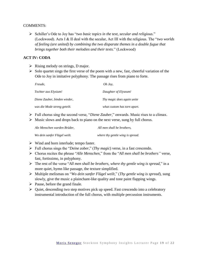#### COMMENTS:

 Schiller's Ode to Joy has "*two basic topics in the text, secular and religious.*" (Lockwood). Acts I & II deal with the secular, Act III with the religious. The "*two worlds of feeling (are united) by combining the two disparate themes in a double fugue that brings together both their melodies and their texts.*" (Lockwood)

#### **ACT IV: CODA**

- $\triangleright$  Rising melody on strings, D major.
- $\triangleright$  Solo quartet sings the first verse of the poem with a new, fast, cheerful variation of the Ode to Joy in imitative polyphony. The passage rises from piano to forte.

| <i>Freude,</i>               | Oh Joy,                     |
|------------------------------|-----------------------------|
| <i>Tochter aus Elysium!</i>  | Daughter of Elyseum!        |
| Diene Zauber, binden wieder, | Thy magic does again unite  |
| was die Mode streng geteilt. | what custom has torn apart. |

- Full chorus sing the second verse, "*Diene Zauber*," onwards. Music rises to a climax.
- $\triangleright$  Music slows and drops back to piano on the next verse, sung by full chorus.

| Ale Menschen warden Brüder,  | All men shall be brothers.       |
|------------------------------|----------------------------------|
| Wo dein sanfer Flügel weilt. | where thy gentle wing is spread. |

- $\triangleright$  Wind and horn interlude; tempo faster.
- Full chorus sings the "*Deine zober*," (*Thy magic*) verse, in a fast crescendo.
- Chorus recites the phrase "*Alle Menschen,*" from the "*All men shall be brothers"* verse, fast, fortissimo, in polyphony.
- The rest of the verse "*All men shall be brothers, where thy gentle wing is spread,*" in a more quiet, hymn like passage, the texture simplified.
- Multiple melismas on "*Wo dein sanfer Flügel weilt*," (*Thy gentle wing is spread*), sung slowly, give the music a plainchant-like quality and tone paint flapping wings.
- $\triangleright$  Pause, before the grand finale.
- $\triangleright$  Ouiet, descending two step motives pick up speed. Fast crescendo into a celebratory instrumental introduction of the full chorus, with multiple percussion instruments.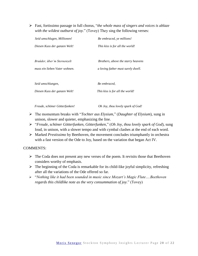Fast, fortissimo passage in full chorus, "*the whole mass of singers and voices is ablaze with the wildest outburst of joy.*" (Tovey) They sing the following verses:

| Seid umschlugen, Millionen!   | Be embraced, ye millions!          |
|-------------------------------|------------------------------------|
| Diesen Kuss der ganzen Welt!  | This kiss is for all the world!    |
|                               |                                    |
| Bruüder, über'm Sternenzelt   | Brothers, above the starry heavens |
| muss ein lieben Vater wohnen. | a loving father must surely dwell. |
|                               |                                    |
| Seid umschlungen,             | Be embraced.                       |
| Diesen Kuss der ganzen Welt!  | This kiss is for all the world!    |
|                               |                                    |

 *Freude, schöner Götterfunken! Oh Joy, thou lovely spark of God!*

- The momentum breaks with "*Tochter aus Elysium,*" (*Daughter of Elysium*), sung in unison, slower and quieter, emphasizing the line.
- "*Freude, schöner Götterfunken, Götterfunken*," (*Oh Joy, thou lovely spark of God*), sung loud, in unison, with a slower tempo and with cymbal clashes at the end of each word.
- Marked *Prestissimo* by Beethoven, the movement concludes triumphantly in orchestra with a fast version of the Ode to Joy, based on the variation that began Act IV.

#### COMMENTS:

- $\triangleright$  The Coda does not present any new verses of the poem. It revisits those that Beethoven considers worthy of emphasis.
- $\triangleright$  The beginning of the Coda is remarkable for its child-like joyful simplicity, refreshing after all the variations of the Ode offered so far.
- "*Nothing like it had been sounded in music since Mozart's Magic Flute….Beethoven regards this childlike note as the very consummation of joy.*" (Tovey)